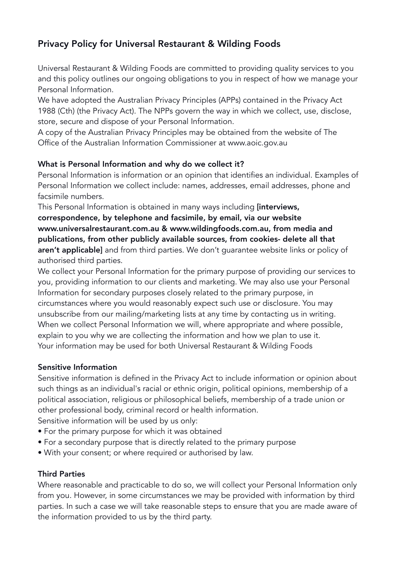# Privacy Policy for Universal Restaurant & Wilding Foods

Universal Restaurant & Wilding Foods are committed to providing quality services to you and this policy outlines our ongoing obligations to you in respect of how we manage your Personal Information.

We have adopted the Australian Privacy Principles (APPs) contained in the Privacy Act 1988 (Cth) (the Privacy Act). The NPPs govern the way in which we collect, use, disclose, store, secure and dispose of your Personal Information.

A copy of the Australian Privacy Principles may be obtained from the website of The Office of the Australian Information Commissioner at www.aoic.gov.au

# What is Personal Information and why do we collect it?

Personal Information is information or an opinion that identifies an individual. Examples of Personal Information we collect include: names, addresses, email addresses, phone and facsimile numbers.

This Personal Information is obtained in many ways including *[interviews,* correspondence, by telephone and facsimile, by email, via our website www.universalrestaurant.com.au & www.wildingfoods.com.au, from media and publications, from other publicly available sources, from cookies- delete all that aren't applicable] and from third parties. We don't guarantee website links or policy of authorised third parties.

We collect your Personal Information for the primary purpose of providing our services to you, providing information to our clients and marketing. We may also use your Personal Information for secondary purposes closely related to the primary purpose, in circumstances where you would reasonably expect such use or disclosure. You may unsubscribe from our mailing/marketing lists at any time by contacting us in writing. When we collect Personal Information we will, where appropriate and where possible, explain to you why we are collecting the information and how we plan to use it. Your information may be used for both Universal Restaurant & Wilding Foods

# Sensitive Information

Sensitive information is defined in the Privacy Act to include information or opinion about such things as an individual's racial or ethnic origin, political opinions, membership of a political association, religious or philosophical beliefs, membership of a trade union or other professional body, criminal record or health information.

Sensitive information will be used by us only:

- For the primary purpose for which it was obtained
- For a secondary purpose that is directly related to the primary purpose
- With your consent; or where required or authorised by law.

# Third Parties

Where reasonable and practicable to do so, we will collect your Personal Information only from you. However, in some circumstances we may be provided with information by third parties. In such a case we will take reasonable steps to ensure that you are made aware of the information provided to us by the third party.